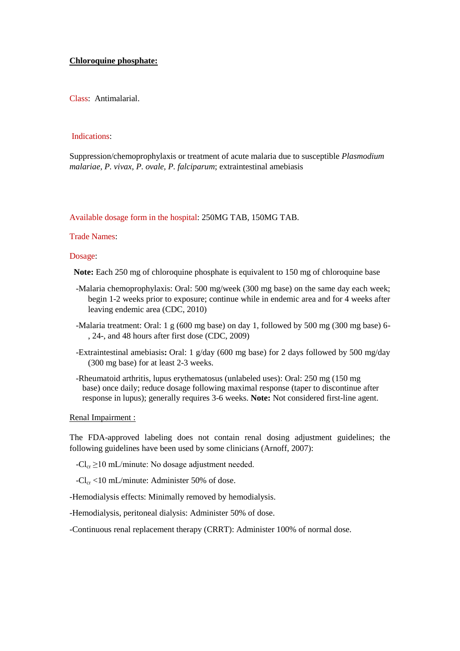## **Chloroquine phosphate:**

Class: Antimalarial.

## Indications:

Suppression/chemoprophylaxis or treatment of acute malaria due to susceptible *Plasmodium malariae, P. vivax, P. ovale, P. falciparum*; extraintestinal amebiasis

Available dosage form in the hospital: 250MG TAB, 150MG TAB.

## Trade Names:

Dosage:

**Note:** Each 250 mg of chloroquine phosphate is equivalent to 150 mg of chloroquine base

- -Malaria chemoprophylaxis: Oral: 500 mg/week (300 mg base) on the same day each week; begin 1-2 weeks prior to exposure; continue while in endemic area and for 4 weeks after leaving endemic area (CDC, 2010)
- -Malaria treatment: Oral: 1 g (600 mg base) on day 1, followed by 500 mg (300 mg base) 6- , 24-, and 48 hours after first dose (CDC, 2009)
- -Extraintestinal amebiasis**:** Oral: 1 g/day (600 mg base) for 2 days followed by 500 mg/day (300 mg base) for at least 2-3 weeks.
- -Rheumatoid arthritis, lupus erythematosus (unlabeled uses): Oral: 250 mg (150 mg base) once daily; reduce dosage following maximal response (taper to discontinue after response in lupus); generally requires 3-6 weeks. **Note:** Not considered first-line agent.

## Renal Impairment :

The FDA-approved labeling does not contain renal dosing adjustment guidelines; the following guidelines have been used by some clinicians (Arnoff, 2007):

 $-Cl_{cr} \geq 10$  mL/minute: No dosage adjustment needed.

 $-Cl_{cr}$  <10 mL/minute: Administer 50% of dose.

-Hemodialysis effects: Minimally removed by hemodialysis.

-Hemodialysis, peritoneal dialysis: Administer 50% of dose.

-Continuous renal replacement therapy (CRRT): Administer 100% of normal dose.